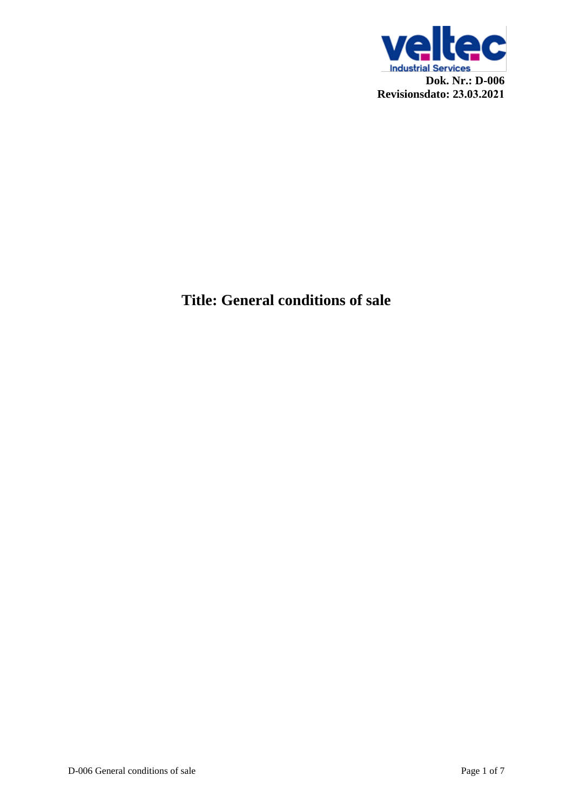

# **Title: General conditions of sale**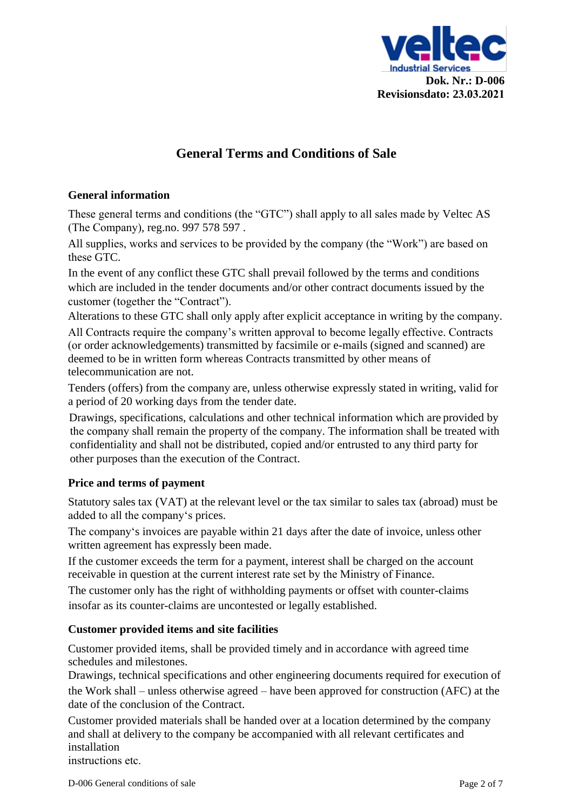

# **General Terms and Conditions of Sale**

#### **General information**

These general terms and conditions (the "GTC") shall apply to all sales made by Veltec AS (The Company), reg.no. 997 578 597 .

All supplies, works and services to be provided by the company (the "Work") are based on these GTC.

In the event of any conflict these GTC shall prevail followed by the terms and conditions which are included in the tender documents and/or other contract documents issued by the customer (together the "Contract").

Alterations to these GTC shall only apply after explicit acceptance in writing by the company.

All Contracts require the company's written approval to become legally effective. Contracts (or order acknowledgements) transmitted by facsimile or e-mails (signed and scanned) are deemed to be in written form whereas Contracts transmitted by other means of telecommunication are not.

Tenders (offers) from the company are, unless otherwise expressly stated in writing, valid for a period of 20 working days from the tender date.

Drawings, specifications, calculations and other technical information which are provided by the company shall remain the property of the company. The information shall be treated with confidentiality and shall not be distributed, copied and/or entrusted to any third party for other purposes than the execution of the Contract.

#### **Price and terms of payment**

Statutory sales tax (VAT) at the relevant level or the tax similar to sales tax (abroad) must be added to all the company's prices.

The company's invoices are payable within 21 days after the date of invoice, unless other written agreement has expressly been made.

If the customer exceeds the term for a payment, interest shall be charged on the account receivable in question at the current interest rate set by the Ministry of Finance.

The customer only has the right of withholding payments or offset with counter-claims insofar as its counter-claims are uncontested or legally established.

#### <span id="page-1-0"></span>**Customer provided items and site facilities**

Customer provided items, shall be provided timely and in accordance with agreed time schedules and milestones.

Drawings, technical specifications and other engineering documents required for execution of the Work shall – unless otherwise agreed – have been approved for construction (AFC) at the date of the conclusion of the Contract.

Customer provided materials shall be handed over at a location determined by the company and shall at delivery to the company be accompanied with all relevant certificates and installation

instructions etc.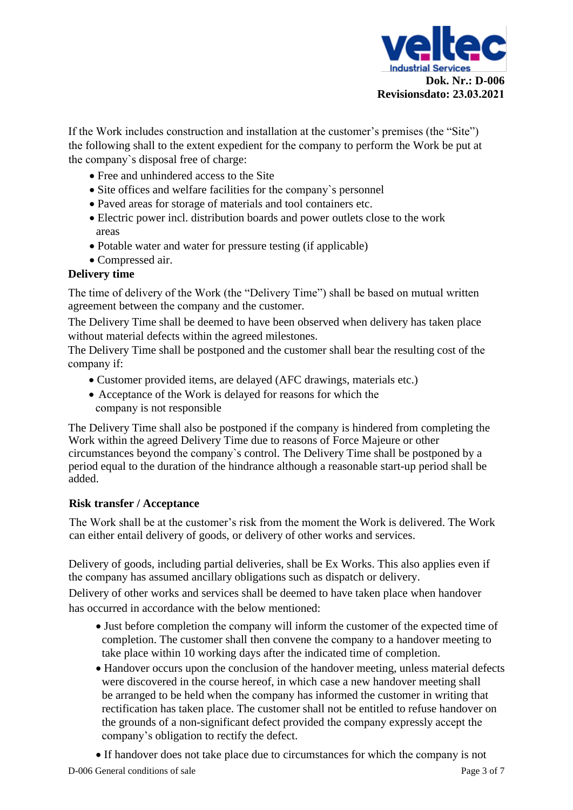

If the Work includes construction and installation at the customer's premises (the "Site") the following shall to the extent expedient for the company to perform the Work be put at the company`s disposal free of charge:

- Free and unhindered access to the Site
- Site offices and welfare facilities for the company's personnel
- Paved areas for storage of materials and tool containers etc.
- Electric power incl. distribution boards and power outlets close to the work areas
- Potable water and water for pressure testing (if applicable)
- Compressed air.

### **Delivery time**

The time of delivery of the Work (the "Delivery Time") shall be based on mutual written agreement between the company and the customer.

The Delivery Time shall be deemed to have been observed when delivery has taken place without material defects within the agreed milestones.

The Delivery Time shall be postponed and the customer shall bear the resulting cost of the company if:

- Customer provided items, are delay[ed \(](#page-1-0)AFC drawings, materials etc.)
- Acceptance of the Work is delayed for reasons for which the company is not responsible

The Delivery Time shall also be postponed if the company is hindered from completing the Work within the agreed Delivery Time due to reasons of Force Majeure or other circumstances beyond the company`s control. The Delivery Time shall be postponed by a period equal to the duration of the hindrance although a reasonable start-up period shall be added.

## **Risk transfer / Acceptance**

<span id="page-2-0"></span>The Work shall be at the customer's risk from t[he m](#page-2-0)oment the Work is delivered. The Work can either entail delivery of goods, or delivery of other works and services[.](#page-2-1)

<span id="page-2-1"></span>Delivery of goods, including partial deliveries, shall be Ex Works. This also applies even if the company has assumed ancillary obligations such as dispatch or delivery.

Delivery of other works and services shall be deemed to have taken place when handover has occurred in accordance with the below mentioned:

- Just before completion the company will inform the customer of the expected time of completion. The customer shall then convene the company to a handover meeting to take place within 10 working days after the indicated time of completion.
- Handover occurs upon the conclusion of the handover meeting, unless material defects were discovered in the course hereof, in which case a new handover meeting shall be arranged to be held when the company has informed the customer in writing that rectification has taken place. The customer shall not be entitled to refuse handover on the grounds of a non-significant defect provided the company expressly accept the company's obligation to rectify the defect.

D-006 General conditions of sale Page 3 of 7 • If handover does not take place due to circumstances for which the company is not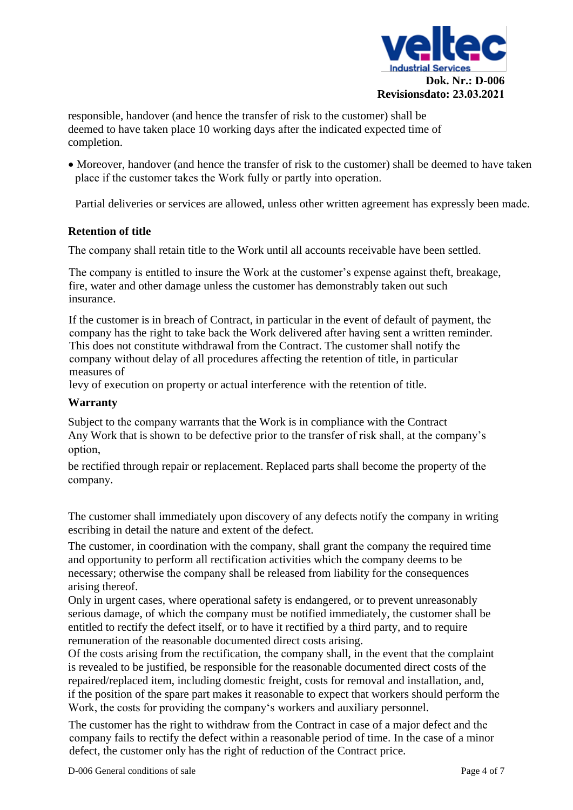

responsible, handover (and hence the transfer of risk to the customer) shall be deemed to have taken place 10 working days after the indicated expected time of completion.

• Moreover, handover (and hence the transfer of risk to the customer) shall be deemed to have taken place if the customer takes the Work fully or partly into operation.

Partial deliveries or services are allowed, unless other written agreement has expressly been made.

#### <span id="page-3-0"></span>**Retention of title**

The company shall retain title to the Work until all accounts receivable have been settled.

The company is entitled to insure the Work at the customer's expense against theft, breakage, fire, water and other damage unless the customer has demonstrably taken out such insurance.

If the customer is in breach of Contract, in particular in the event of default of payment, the company has the right to take back the Work delivered after having sent a written reminder. This does not constitute withdrawal from the Contract. The customer shall notify the company without delay of all procedures affecting the retention of title, in particular measures of

levy of execution on property or actual interference with the retention of title.

#### **Warranty**

Subject to the company warrants that the Work is in compliance with the Contract Any Work that is shown to be defective prior to the transfer of risk shall, at the company's option,

be rectified through repair or replacement. Replaced parts shall become the property of the company.

The customer shall immediately upon discovery of any defects notify the company in writing escribing in detail the nature and extent of the defect.

The customer, in coordination with the company, shall grant the company the required time and opportunity to perform all rectification activities which the company deems to be necessary; otherwise the company shall be released from liability for the consequences arising thereof.

Only in urgent cases, where operational safety is endangered, or to prevent unreasonably serious damage, of which the company must be notified immediately, the customer shall be entitled to rectify the defect itself, or to have it rectified by a third party, and to require remuneration of the reasonable documented direct costs arising.

Of the costs arising from the rectification, the company shall, in the event that the complaint is revealed to be justified, be responsible for the reasonable documented direct costs of the repaired/replaced item, including domestic freight, costs for removal and installation, and, if the position of the spare part makes it reasonable to expect that workers should perform the Work, the costs for providing the company's workers and auxiliary personnel.

The customer has the right to withdraw from the Contract in case of a major defect and the company fails to rectify the defect within a reasonable period of time. In the case of a minor defect, the customer only has the right of reduction of the Contract price.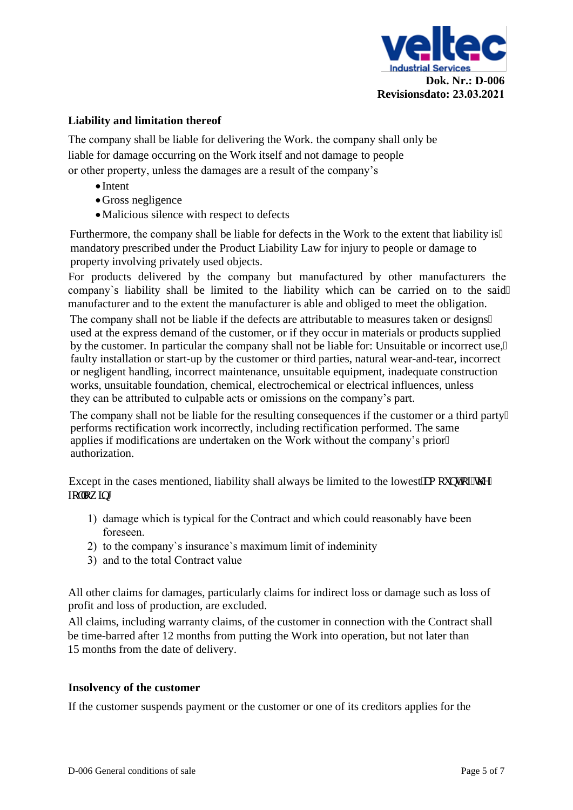

#### **Liability and limitation thereof**

<span id="page-4-0"></span>The company shall be liable for delivering the Work. the company shall only be liable for damage occurring on the Work itself and not damage to people or other property, unless the damages are a result of the company's

- Intent
- Gross negligence
- •Malicious silence with respect to defects

Furthermore, the company shall be liable for defects in the Work to the extent that liability is" mandatory prescribed under the Product Liability Law for injury to people or damage to property involving privately used objects.

For products delivered by the company but manufactured by other manufacturers the company`s liability shall be limited to the liability which can be carried on to the said manufacturer and to the extent the manufacturer is able and obliged to meet the obligation.

The company shall not be liable if the defects are attributable to measures taken or designs" used at the express demand of the customer, or if they occur in materials or products supplied by the customer. In particular the company shall not be liable for: Unsuitable or incorrect use, faulty installation or start-up by the customer or third parties, natural wear-and-tear, incorrect or negligent handling, incorrect maintenance, unsuitable equipment, inadequate construction works, unsuitable foundation, chemical, electrochemical or electrical influences, unless they can be attributed to culpable acts or omissions on the company's part.

The company shall not be liable for the resulting consequences if the customer or a third party performs rectification work incorrectly, including rectification performed. The same applies if modifications are undertaken on the Work without the company's prior authorization.

Except in the cases mentioned, liability [sha](#page-4-0)ll always be limited to the lowest co quoy  $qWq$ hay koi

- 1) damage which is typical for the Contract and which could reasonably have been foreseen.
- 2) to the company`s insurance`s maximum limit of indeminity
- 3) and to the total Contract value

All other claims for damages, particularly claims for indirect loss or damage such as loss of profit and loss of production, are excluded.

All claims, including warranty claims, of the customer in connection with the Contract shall be time-barred after 12 months from putting the Work into operation, but not later than 15 months from the date of delivery.

#### **Insolvency of the customer**

If the customer suspends payment or the customer or one of its creditors applies for the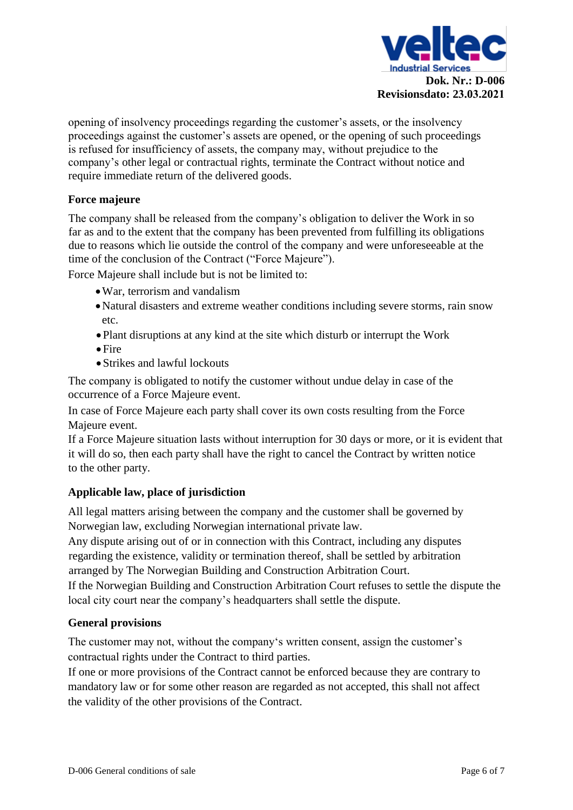

opening of insolvency proceedings regarding the customer's assets, or the insolvency proceedings against the customer's assets are opened, or the opening of such proceedings is refused for insufficiency of assets, the company may, without prejudice to the company's other legal or contractual rights, terminate the Contract without notice and require immediate return of the deliv[ere](#page-3-0)d goods.

#### **Force majeure**

The company shall be released from the company's obligation to deliver the Work in so far as and to the extent that the company has been prevented from fulfilling its obligations due to reasons which lie outside the control of the company and were unforeseeable at the time of the conclusion of the Contract ("Force Majeure").

Force Majeure shall include but is not be limited to:

- •War, terrorism and vandalism
- •Natural disasters and extreme weather conditions including severe storms, rain snow etc.
- •Plant disruptions at any kind at the site which disturb or interrupt the Work
- •Fire
- •Strikes and lawful lockouts

The company is obligated to notify the customer without undue delay in case of the occurrence of a Force Majeure event.

In case of Force Majeure each party shall cover its own costs resulting from the Force Majeure event.

If a Force Majeure situation lasts without interruption for 30 days or more, or it is evident that it will do so, then each party shall have the right to cancel the Contract by written notice to the other party.

#### **Applicable law, place of jurisdiction**

All legal matters arising between the company and the customer shall be governed by Norwegian law, excluding Norwegian international private law.

Any dispute arising out of or in connection with this Contract, including any disputes regarding the existence, validity or termination thereof, shall be settled by arbitration arranged by The Norwegian Building and Construction Arbitration Court.

If the Norwegian Building and Construction Arbitration Court refuses to settle the dispute the local city court near the company's headquarters shall settle the dispute.

#### **General provisions**

The customer may not, without the company's written consent, assign the customer's contractual rights under the Contract to third parties.

If one or more provisions of the Contract cannot be enforced because they are contrary to mandatory law or for some other reason are regarded as not accepted, this shall not affect the validity of the other provisions of the Contract.